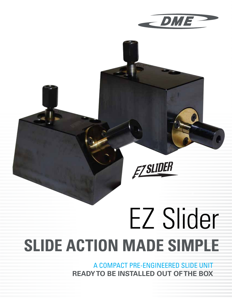

## **EZ SLIDER**

# EZ Slider **SLIDE ACTION MADE SIMPLE**

A COMPACT PRE-ENGINEERED SLIDE UNIT **READY TO BE INSTALLED OUT OF THE BOX**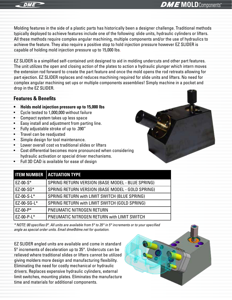

### **DME** MOLD Components<sup>®</sup>

Molding features in the side of a plastic parts has historically been a designer challenge. Traditional methods typically deployed to achieve features include one of the following: slide units, hydraulic cylinders or lifters. All these methods require complex angular machining, multiple components and/or the use of hydraulics to achieve the feature. They also require a positive stop to hold injection pressure however EZ SLIDER is capable of holding mold injection pressure up to 15,000 lbs.

EZ SLIDER is a simplified self-contained unit designed to aid in molding undercuts and other part features. The unit utilizes the open and closing action of the plates to action a hydraulic plunger which intern moves the extension rod forward to create the part feature and once the mold opens the rod retreats allowing for part ejection. EZ SLIDER replaces and reduces machining required for slide units and lifters. No need for complex angular machining set ups or multiple components assemblies! Simply machine in a pocket and drop in the EZ SLIDER.

#### **Features & Benefits**

- **• Holds mold injection pressure up to 15,000 lbs**
- Cycle tested to 1,000,000 without failure
- Compact system takes up less space
- Easy install and adjustment from parting line.
- Fully adjustable stroke of up to .390"
- Travel can be readjusted
- Simple design for tool maintenance.
- Lower overall cost vs traditional slides or lifters
- Cost differential becomes more pronounced when considering hydraulic activation or special driver mechanisms.
- Full 3D CAD is available for ease of design

|              | <b>ITEM NUMBER   ACTUATION TYPE</b>              |
|--------------|--------------------------------------------------|
| $EZ-00-S*$   | SPRING RETURN VERSION (BASE MODEL - BLUE SPRING) |
| EZ-00-SG*    | SPRING RETURN VERSION (BASE MODEL - GOLD SPRING) |
| EZ-00-S-L*   | SPRING RETURN with LIMIT SWITCH (BLUE SPRING)    |
| EZ-00-SG-L*  | SPRING RETURN with LIMIT SWITCH (GOLD SPRING)    |
| $EZ-00-P*$   | PNEUMATIC NITROGEN RETURN                        |
| $EZ-00-P-L*$ | PNEUMATIC NITROGEN RETURN with LIMIT SWITCH      |

*\* NOTE: 00 specifies 0°. All units are available from 5° to 35° in 5° increments or to your specified angle as special order units. Email dme@dme.net for quotation.*

EZ SLIDER angled units are available and come in standard 5° increments of deceleration up to 35°. Undercuts can be relieved where traditional slides or lifters cannot be utilized giving molders more design and manufacturing flexibility. Eliminating the need for costly mechanical or hydraulic drivers. Replaces expensive hydraulic cylinders, external limit switches, mounting plates. Eliminates the manufacture time and materials for additional components.

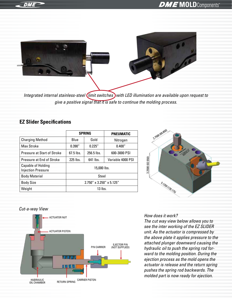

*Integrated internal stainless-steel limit switches with LED illumination are available upon request to give a positive signal that it is safe to continue the molding process.*

#### **EZ Slider Specifications**

|                                                        | <b>SPRING</b>               |            | <b>PNEUMATIC</b>  |
|--------------------------------------------------------|-----------------------------|------------|-------------------|
| <b>Charging Method</b>                                 | Blue                        | Gold       | Nitrogen          |
| <b>Max Stroke</b>                                      | 0.390''                     | 0.225''    | 0.400''           |
| Pressure at Start of Stroke                            | $67.5$ lbs.                 | 256.5 lbs. | 600-3000 PSI      |
| Pressure at End of Stroke                              | 225 lbs.                    | 641 lbs.   | Variable 4000 PSI |
| <b>Capable of Holding</b><br><b>Injection Pressure</b> | 15,000 lbs.                 |            |                   |
| <b>Body Material</b>                                   | Steel                       |            |                   |
| <b>Body Size</b>                                       | $2.750''$ x 3.250" x 5.125" |            |                   |
| Weight                                                 | $13$ lbs.                   |            |                   |



#### *Cut-a-way View*



#### *How does it work?*

*The cut way view below allows you to see the inter working of the EZ SLIDER unit. As the actuator is compressed by the above plate it applies pressure to the attached plunger downward causing the hydraulic oil to push the spring rod forward to the molding position. During the ejection process as the mold opens the actuator is release and the return spring pushes the spring rod backwards. The molded part is now ready for ejection.*